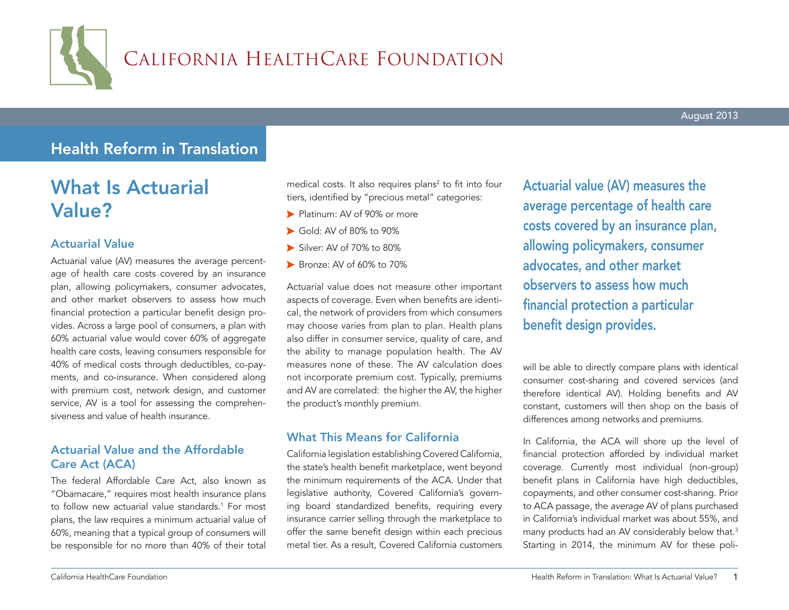

## Health Reform in Translation

# What Is Actuarial Value?

#### Actuarial Value

Actuarial value (AV) measures the average percentage of health care costs covered by an insurance plan, allowing policymakers, consumer advocates, and other market observers to assess how much financial protection a particular benefit design provides. Across a large pool of consumers, a plan with 60% actuarial value would cover 60% of aggregate health care costs, leaving consumers responsible for 40% of medical costs through deductibles, co-payments, and co-insurance. When considered along with premium cost, network design, and customer service, AV is a tool for assessing the comprehensiveness and value of health insurance.

### Actuarial Value and the Affordable Care Act (ACA)

The federal Affordable Care Act, also known as "Obamacare," requires most health insurance plans to follow new actuarial value standards.<sup>1</sup> For most plans, the law requires a minimum actuarial value of 60%, meaning that a typical group of consumers will be responsible for no more than 40% of their total

medical costs. It also requires plans<sup>2</sup> to fit into four tiers, identified by "precious metal" categories:

- Platinum: AV of 90% or more
- Gold: AV of 80% to 90%
- Silver: AV of 70% to 80%
- Bronze: AV of 60% to 70%

Actuarial value does not measure other important aspects of coverage. Even when benefits are identical, the network of providers from which consumers may choose varies from plan to plan. Health plans also differ in consumer service, quality of care, and the ability to manage population health. The AV measures none of these. The AV calculation does not incorporate premium cost. Typically, premiums and AV are correlated: the higher the AV, the higher the product's monthly premium.

#### What This Means for California

California legislation establishing Covered California, the state's health benefit marketplace, went beyond the minimum requirements of the ACA. Under that legislative authority, Covered California's governing board standardized [benefits,](http://www.coveredca.com/PDFs/English/CoveredCA-HealthPlanBenefitsComparisonChart.pdf) requiring every insurance carrier selling through the marketplace to offer the same benefit design within each precious metal tier. As a result, Covered California customers Actuarial value (AV) measures the average percentage of health care costs covered by an insurance plan, allowing policymakers, consumer advocates, and other market observers to assess how much financial protection a particular benefit design provides.

will be able to directly compare plans with identical consumer cost-sharing and covered services (and therefore identical AV). Holding benefits and AV constant, customers will then shop on the basis of differences among networks and premiums.

In California, the ACA will shore up the level of financial protection afforded by individual market coverage. Currently most individual (non-group) benefit plans in California have high deductibles, copayments, and other consumer cost-sharing. Prior to ACA passage, the *average* AV of plans purchased in California's individual market was about 55%, and many products had an AV considerably below that.<sup>3</sup> Starting in 2014, the minimum AV for these poli-